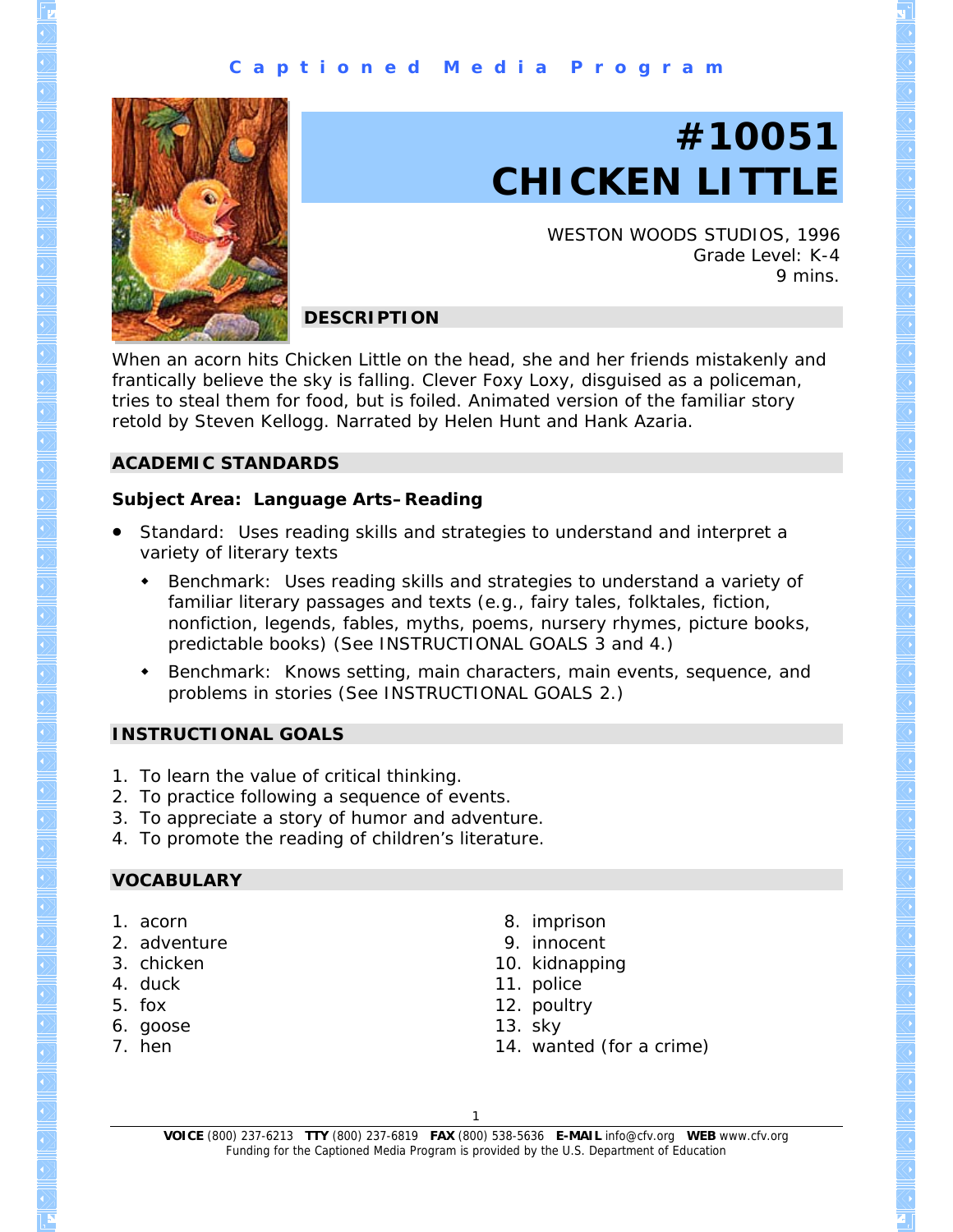# **C a p t i o n e d M e d i a P r o g r a m**



# **#10051 CHICKEN LITTLE**

WESTON WOODS STUDIOS, 1996 Grade Level: K-4 9 mins.

# **DESCRIPTION**

When an acorn hits Chicken Little on the head, she and her friends mistakenly and frantically believe the sky is falling. Clever Foxy Loxy, disguised as a policeman, tries to steal them for food, but is foiled. Animated version of the familiar story retold by Steven Kellogg. Narrated by Helen Hunt and Hank Azaria.

# **ACADEMIC STANDARDS**

#### **Subject Area: Language Arts–Reading**

- Standard: Uses reading skills and strategies to understand and interpret a variety of literary texts
	- Benchmark: Uses reading skills and strategies to understand a variety of familiar literary passages and texts (e.g., fairy tales, folktales, fiction, nonfiction, legends, fables, myths, poems, nursery rhymes, picture books, predictable books) (See INSTRUCTIONAL GOALS 3 and 4.)
	- Benchmark: Knows setting, main characters, main events, sequence, and problems in stories (See INSTRUCTIONAL GOALS 2.)

# **INSTRUCTIONAL GOALS**

- 1. To learn the value of critical thinking.
- 2. To practice following a sequence of events.
- 3. To appreciate a story of humor and adventure.
- 4. To promote the reading of children's literature.

#### **VOCABULARY**

- 1. acorn
- 2. adventure
- 3. chicken
- 4. duck
- 5. fox
- 6. goose
- 7. hen
- 8. imprison
- 9. innocent
- 10. kidnapping
- 11. police
- 12. poultry
- 13. sky
- 14. wanted (for a crime)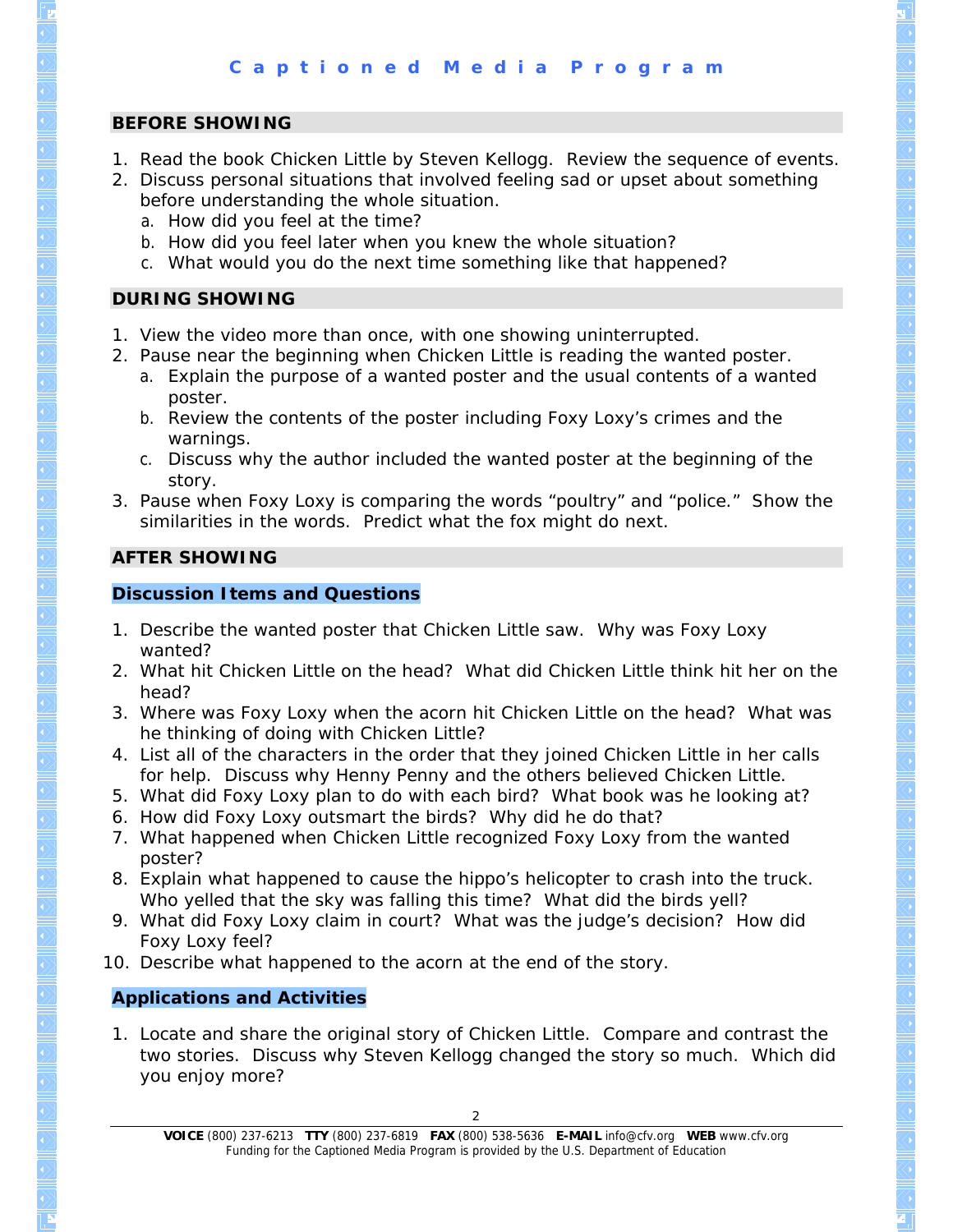# **BEFORE SHOWING**

- 1. Read the book *Chicken Little* by Steven Kellogg. Review the sequence of events.
- 2. Discuss personal situations that involved feeling sad or upset about something before understanding the whole situation.
	- a. How did you feel at the time?
	- b. How did you feel later when you knew the whole situation?
	- c. What would you do the next time something like that happened?

# **DURING SHOWING**

- 1. View the video more than once, with one showing uninterrupted.
- 2. Pause near the beginning when Chicken Little is reading the wanted poster.
	- a. Explain the purpose of a wanted poster and the usual contents of a wanted poster.
	- b. Review the contents of the poster including Foxy Loxy's crimes and the warnings.
	- c. Discuss why the author included the wanted poster at the beginning of the story.
- 3. Pause when Foxy Loxy is comparing the words "poultry" and "police." Show the similarities in the words. Predict what the fox might do next.

# **AFTER SHOWING**

# **Discussion Items and Questions**

- 1. Describe the wanted poster that Chicken Little saw. Why was Foxy Loxy wanted?
- 2. What hit Chicken Little on the head? What did Chicken Little think hit her on the head?
- 3. Where was Foxy Loxy when the acorn hit Chicken Little on the head? What was he thinking of doing with Chicken Little?
- 4. List all of the characters in the order that they joined Chicken Little in her calls for help. Discuss why Henny Penny and the others believed Chicken Little.
- 5. What did Foxy Loxy plan to do with each bird? What book was he looking at?
- 6. How did Foxy Loxy outsmart the birds? Why did he do that?
- 7. What happened when Chicken Little recognized Foxy Loxy from the wanted poster?
- 8. Explain what happened to cause the hippo's helicopter to crash into the truck. Who yelled that the sky was falling this time? What did the birds yell?
- 9. What did Foxy Loxy claim in court? What was the judge's decision? How did Foxy Loxy feel?
- 10. Describe what happened to the acorn at the end of the story.

# **Applications and Activities**

1. Locate and share the original story of Chicken Little. Compare and contrast the two stories. Discuss why Steven Kellogg changed the story so much. Which did you enjoy more?

**VOICE** (800) 237-6213 **TTY** (800) 237-6819 **FAX** (800) 538-5636 **E-MAIL** info@cfv.org **WEB** www.cfv.org Funding for the Captioned Media Program is provided by the U.S. Department of Education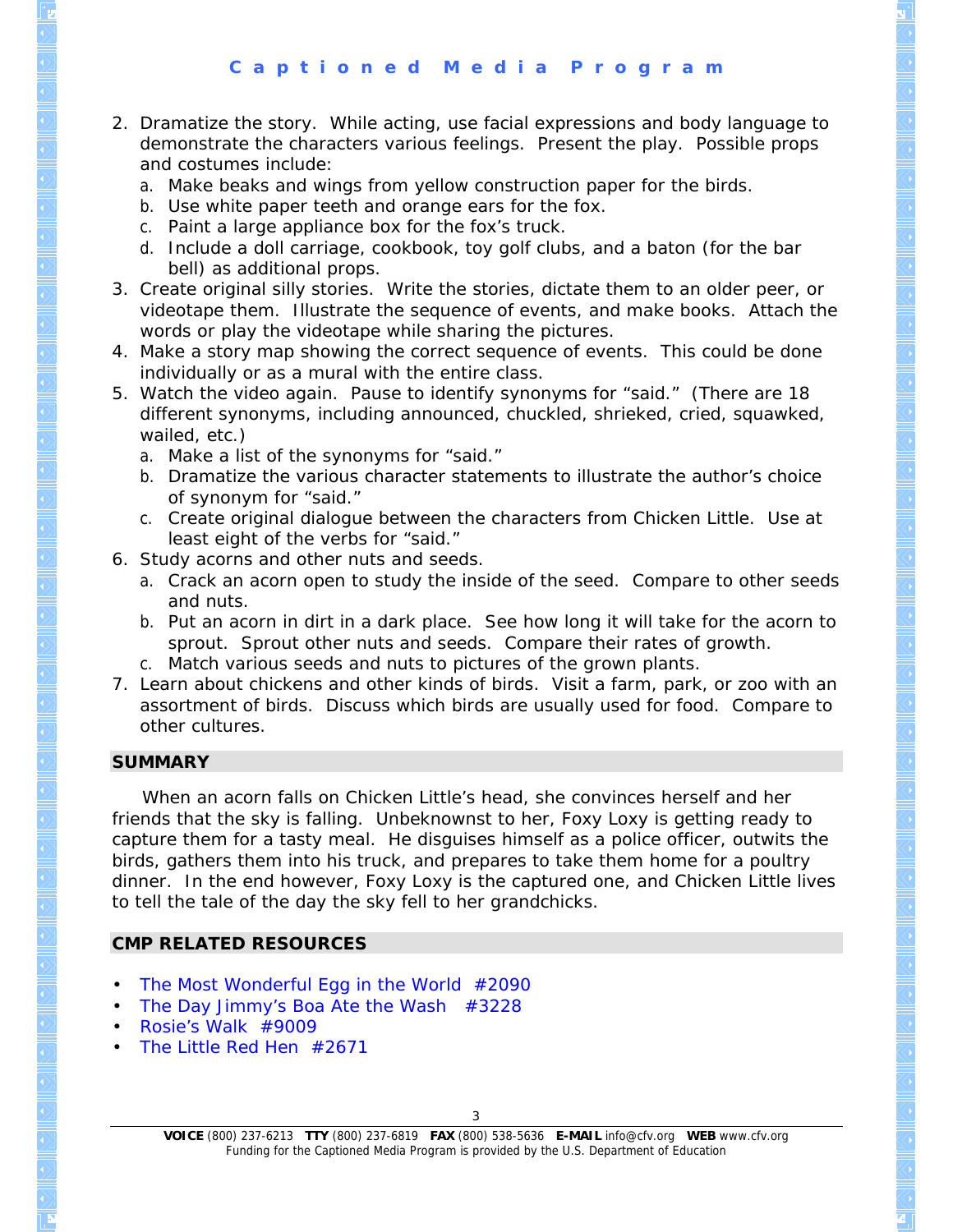- 2. Dramatize the story. While acting, use facial expressions and body language to demonstrate the characters various feelings. Present the play. Possible props and costumes include:
	- a. Make beaks and wings from yellow construction paper for the birds.
	- b. Use white paper teeth and orange ears for the fox.
	- c. Paint a large appliance box for the fox's truck.
	- d. Include a doll carriage, cookbook, toy golf clubs, and a baton (for the bar bell) as additional props.
- 3. Create original silly stories. Write the stories, dictate them to an older peer, or videotape them. Illustrate the sequence of events, and make books. Attach the words or play the videotape while sharing the pictures.
- 4. Make a story map showing the correct sequence of events. This could be done individually or as a mural with the entire class.
- 5. Watch the video again. Pause to identify synonyms for "said." (There are 18 different synonyms, including announced, chuckled, shrieked, cried, squawked, wailed, etc.)
	- a. Make a list of the synonyms for "said."
	- b. Dramatize the various character statements to illustrate the author's choice of synonym for "said."
	- c. Create original dialogue between the characters from *Chicken Little*. Use at least eight of the verbs for "said."
- 6. Study acorns and other nuts and seeds.
	- a. Crack an acorn open to study the inside of the seed. Compare to other seeds and nuts.
	- b. Put an acorn in dirt in a dark place. See how long it will take for the acorn to sprout. Sprout other nuts and seeds. Compare their rates of growth.
	- c. Match various seeds and nuts to pictures of the grown plants.
- 7. Learn about chickens and other kinds of birds. Visit a farm, park, or zoo with an assortment of birds. Discuss which birds are usually used for food. Compare to other cultures.

# **SUMMARY**

 When an acorn falls on Chicken Little's head, she convinces herself and her friends that the sky is falling. Unbeknownst to her, Foxy Loxy is getting ready to capture them for a tasty meal. He disguises himself as a police officer, outwits the birds, gathers them into his truck, and prepares to take them home for a poultry dinner. In the end however, Foxy Loxy is the captured one, and Chicken Little lives to tell the tale of the day the sky fell to her grandchicks.

# **CMP RELATED RESOURCES**

- *[The Most Wonderful Egg in the World](http://www.cfv.org/titledetail.asp?dn=2090)* #2090
- *[The Day Jimmy's Boa Ate the Wash](http://www.cfv.org/titledetail.asp?dn=3228)* #3228
- *[Rosie's Walk](http://www.cfv.org/titledetail.asp?dn=9009)* #9009
- *[The Little Red Hen](http://www.cfv.org/titledetail.asp?dn=2671)* #2671